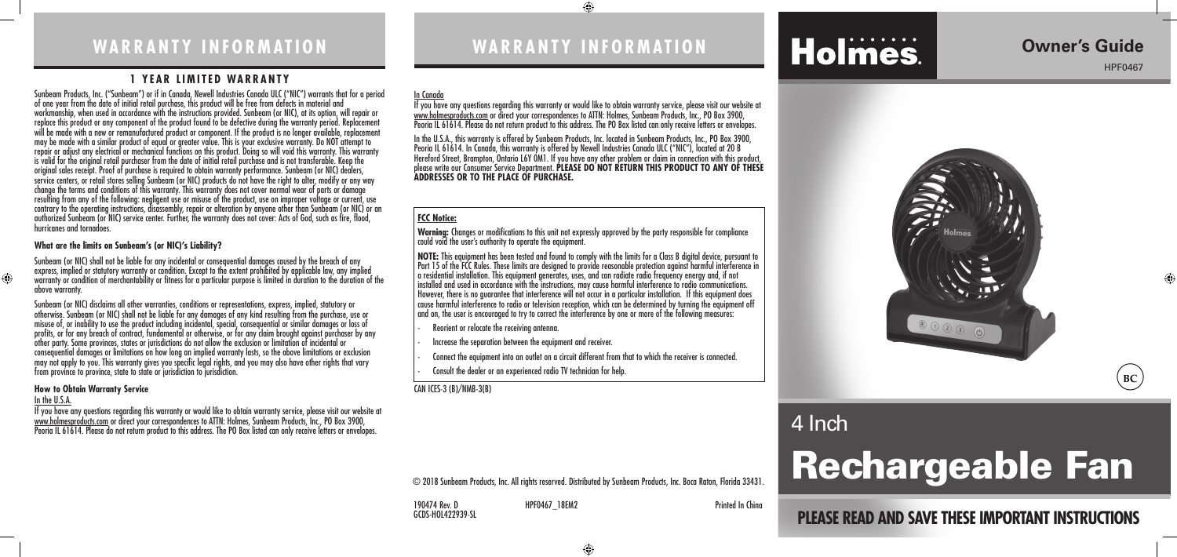### **WARRANTY INFORMATION**

Sunbeam Products, Inc. ("Sunbeam") or if in Canada, Newell Industries Canada ULC ("NIC") warrants that for a period of one year from the date of initial retail purchase, this product will be free from defects in material and workmanship, when used in accordance with the instructions provided. Sunbeam (or NIC), at its option, will repair or replace this product or any component of the product found to be defective during the warranty period. Replacement will be made with a new or remanufactured product or component. If the product is no longer available, replacement may be made with a similar product of equal or greater value. This is your exclusive warranty. Do NOT attempt to repair or adjust any electrical or mechanical functions on this product. Doing so will void this warranty. This warranty is valid for the original retail purchaser from the date of initial retail purchase and is not transferable. Keep the original sales receipt. Proof of purchase is required to obtain warranty performance. Sunbeam (or NIC) dealers, service centers, or retail stores selling Sunbeam (or NIC) products do not have the right to alter, modify or any way change the terms and conditions of this warranty. This warranty does not cover normal wear of parts or damage resulting from any of the following: negligent use or misuse of the product, use on improper voltage or current, use contrary to the operating instructions, disassembly, repair or alteration by anyone other than Sunbeam (or NIC) or an authorized Sunbeam (or NIC) service center. Further, the warranty does not cover: Acts of God, such as fire, flood, hurricanes and tornadoes.

### **1 YEAR LIMITED WARRANTY**

Sunbeam (or NIC) disclaims all other warranties, conditions or representations, express, implied, statutory or otherwise. Sunbeam (or NIC) shall not be liable for any damages of any kind resulting from the purchase, use or misuse of, or inability to use the product including incidental, special, consequential or similar damages or loss of profits, or for any breach of contract, fundamental or otherwise, or for any claim brought against purchaser by any other party. Some provinces, states or jurisdictions do not allow the exclusion or limitation of incidental or consequential damages or limitations on how long an implied warranty lasts, so the above limitations or exclusion may not apply to you. This warranty gives you specific legal rights, and you may also have other rights that vary from province to province, state to state or jurisdiction to jurisdiction.

#### **What are the limits on Sunbeam's (or NIC)'s Liability?**

Sunbeam (or NIC) shall not be liable for any incidental or consequential damages caused by the breach of any express, implied or statutory warranty or condition. Except to the extent prohibited by applicable law, any implied warranty or condition of merchantability or fitness for a particular purpose is limited in duration to the duration of the above warranty.

NOTE: This equipment has been tested and found to comply with the limits for a Class B digital device, pursuant to<br>Part 15 of the FCC Rules. These limits are designed to provide reasonable protection against harmful interf a residential installation. This equipment generates, uses, and can radiate radio frequency energy and, if not installed and used in accordance with the instructions, may cause harmful interference to radio communications. However, there is no guarantee that interference will not occur in a particular installation. If this equipment does cause harmful interference to radio or television reception, which can be determined by turning the equipment off and on, the user is encouraged to try to correct the interference by one or more of the following measures:

#### **How to Obtain Warranty Service**

#### In the U.S.A.

If you have any questions regarding this warranty or would like to obtain warranty service, please visit our website at www.holmesproducts.com or direct your correspondences to ATTN: Holmes, Sunbeam Products, Inc., PO Box 3900, Peoria IL 61614. Please do not return product to this address. The PO Box listed can only receive letters or envelopes.

## **PLEASE READ AND SAVE THESE IMPORTANT INSTRUCTIONS**

### **Owner's Guide**

HPF0467





 $\bigoplus$ 

## **WARRANTY INFORMATION**

 $\bigoplus$ 

## **Holmes**

#### In Canada

If you have any questions regarding this warranty or would like to obtain warranty service, please visit our website at www.holmesproducts.com or direct your correspondences to ATTN: Holmes, Sunbeam Products, Inc., PO Box 3900, Peoria IL 61614. Please do not return product to this address. The PO Box listed can only receive letters or envelopes.

In the U.S.A., this warranty is offered by Sunbeam Products, Inc. located in Sunbeam Products, Inc., PO Box 3900, Peoria IL 61614. In Canada, this warranty is offered by Newell Industries Canada ULC ("NIC"), located at 20 B Hereford Street, Brampton, Ontario L6Y 0M1. If you have any other problem or claim in connection with this product, please write our Consumer Service Department. **PLEASE DO NOT RETURN THIS PRODUCT TO ANY OF THESE ADDRESSES OR TO THE PLACE OF PURCHASE.** 

CAN ICES-3 (B)/NMB-3(B)

### **FCC Notice:**

**Warning:** Changes or modifications to this unit not expressly approved by the party responsible for compliance could void the user's authority to operate the equipment.

- Reorient or relocate the receiving antenna.

- Increase the separation between the equipment and receiver.

- Connect the equipment into an outlet on a circuit different from that to which the receiver is connected.

- Consult the dealer or an experienced radio TV technician for help.

190474 Rev. D HPF0467\_18EM2 Printed In China GCDS-HOL422939-SL

© 2018 Sunbeam Products, Inc. All rights reserved. Distributed by Sunbeam Products, Inc. Boca Raton, Florida 33431.

4 Inch



# Rechargeable Fan